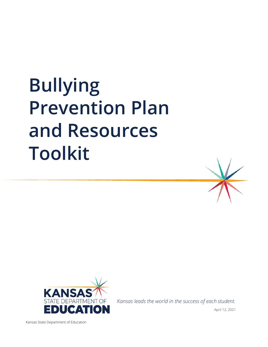# **Bullying Prevention Plan and Resources Toolkit**





*Kansas leads the world in the success of each student.* 

Kansas State Department of Education

April 12, 2021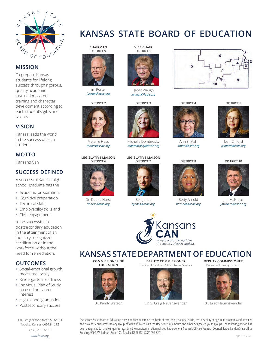

#### **MISSION**

To prepare Kansas students for lifelong success through rigorous, quality academic instruction, career training and character development according to each student's gifts and talents.

## **VISION**

Kansas leads the world in the success of each student.

# **MOTTO**

Kansans Can

# **SUCCESS DEFINED**

A successful Kansas high school graduate has the

- Academic preparation,
- Cognitive preparation,
- Technical skills,
- Employability skills and
- Civic engagement

to be successful in postsecondary education, in the attainment of an industry recognized certification or in the workforce, without the need for remediation.

# **OUTCOMES**

- Social-emotional growth measured locally
- Kindergarten readiness
- Individual Plan of Study focused on career interest
- High school graduation
- Postsecondary success

900 S.W. Jackson Street, Suite 600 Topeka, Kansas 66612-1212

(785) 296-3203 *www.ksde.org*



Jim Porter *jporter@ksde.org*

DISTRICT 2



Melanie Haas *mhaas@ksde.org*

# **LEGISLATIVE LIAISON** DISTRICT 6



Dr. Deena Horst *dhorst@ksde.org*



**VICE CHAIR**

Janet Waugh *jwaugh@ksde.org*

DISTRICT 3



Michelle Dombrosky *mdombrosky@ksde.org*

#### **LEGISLATIVE LIAISON** DISTRICT 7



Ben Jones *bjones@ksde.org*



**KANSAS STATE DEPARTMENT OF EDUCATION**

**COMMISSIONER OF EDUCATION** 



Dr. Randy Watson

**DEPUTY COMMISSIONER** Division of Fiscal and Administrative Services



Dr. S. Craig Neuenswander

**DEPUTY COMMISSIONER** Division of Learning Services



Dr. Brad Neuenswander

The Kansas State Board of Education does not discriminate on the basis of race, color, national origin, sex, disability or age in its programs and activities and provides equal access to any group officially affiliated with the Boy Scouts of America and other designated youth groups. The following person has been designated to handle inquiries regarding the nondiscrimination policies: KSDE General Counsel, Office of General Counsel, KSDE, Landon State Office Building, 900 S.W. Jackson, Suite 102, Topeka, KS 66612, (785) 296-3201.

# **KANSAS STATE BOARD OF EDUCATION**



Ann E. Mah *amah@ksde.org*





Betty Arnold *barnold@ksde.org*



DISTRICT 5

á

6

10

DISTRICT 10



Jim McNiece *jmcniece@ksde.org*





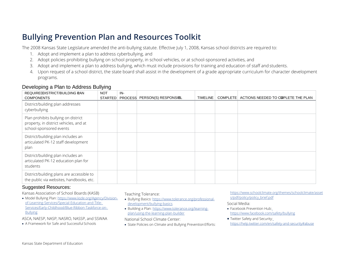# **Bullying Prevention Plan and Resources Toolkit**

The 2008 Kansas State Legislature amended the anti-bullying statute. Effective July 1, 2008, Kansas school districts are required to:

- 1. Adopt and implement a plan to address cyberbullying, and
- 2. Adopt policies prohibiting bullying on school property, in school vehicles, or at school-sponsored activities, and
- 3. Adopt and implement a plan to address bullying, which must include provisions for training and education of staff and students.
- 4. Upon request of a school district, the state board shall assist in the development of a grade appropriate curriculum for character development programs.

## Developing a Plan to Address Bullying

| REQUIREDDISTRICT/BUILDING PAN<br><b>COMPONENTS</b>                                                       | <b>NOT</b><br><b>STARTED</b> | IN- | PROCESS PERSON(S) RESPONSIBL | <b>TIMELINE</b> | <b>COMPLETE</b> | ACTIONS NEEDED TO COPLETE THE PLAN |
|----------------------------------------------------------------------------------------------------------|------------------------------|-----|------------------------------|-----------------|-----------------|------------------------------------|
| District/building plan addresses<br>cyberbullying                                                        |                              |     |                              |                 |                 |                                    |
| Plan prohibits bullying on district<br>property, in district vehicles, and at<br>school-sponsored events |                              |     |                              |                 |                 |                                    |
| District/building plan includes an<br>articulated PK-12 staff development<br>plan                        |                              |     |                              |                 |                 |                                    |
| District/building plan includes an<br>articulated PK-12 education plan for<br>students                   |                              |     |                              |                 |                 |                                    |
| District/building plans are accessible to<br>the public via websites, handbooks, etc.                    |                              |     |                              |                 |                 |                                    |

#### Suggested Resources:

Kansas Association of School Boards (KASB)

• [Model Bullying Plan: https://www.ksde.org/Agency/Division](https://www.ksde.org/Agency/Division-of-Learning-Services/Special-Education-and-Title-Services/Early-Childhood/Blue-Ribbon-Taskforce-on-Bullying)[of-Learning-Services/Special-Education-and-Title-](https://www.ksde.org/Agency/Division-of-Learning-Services/Special-Education-and-Title-Services/Early-Childhood/Blue-Ribbon-Taskforce-on-Bullying)[Services/Early-Childhood/Blue-Ribbon-Taskforce-on-](https://www.ksde.org/Agency/Division-of-Learning-Services/Special-Education-and-Title-Services/Early-Childhood/Blue-Ribbon-Taskforce-on-Bullying)[Bullying](https://www.ksde.org/Agency/Division-of-Learning-Services/Special-Education-and-Title-Services/Early-Childhood/Blue-Ribbon-Taskforce-on-Bullying)

ASCA, NAESP, NASP, NASRO, NASSP, and SSWAA National School Climate Center: • • Twitter Safety and Security:

Teaching Tolerance:

- Bullying Basics[: https://www.tolerance.org/professional](https://www.tolerance.org/professional-development/bullying-basics)[development/bullying-basics](https://www.tolerance.org/professional-development/bullying-basics)
- Building a Plan[: https://www.tolerance.org/learning](https://www.tolerance.org/learning-plan/using-the-learning-plan-builder)[plan/using-the-learning-plan-builder](https://www.tolerance.org/learning-plan/using-the-learning-plan-builder)

• [A F](https://www.nasponline.org/resources-and-publications/resources-and-podcasts/school-climate-safety-and-crisis/school-violence-resources/bullying-prevention)ramework for Safe and Successful Schools • State Policies on Climate and Bullying Prevention Efforts: https://help.twitter.com/en/safety-and-security#abuse

[https://www.schoolclimate.org/themes/schoolclimate/asset](https://www.schoolclimate.org/themes/schoolclimate/assets/pdf/policy/policy_brief.pdf)  s/pdf/policy/policy\_brief.pdf

#### Social Media:

- Facebook Prevention Hu[b:](https://www.facebook.com/safety/bullying) <https://www.facebook.com/safety/bullying>
- 

Kansas State Department of Education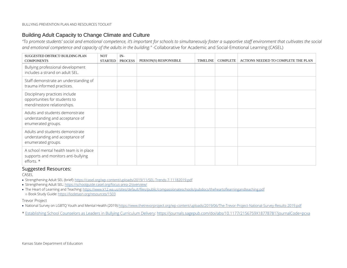## Building Adult Capacity to Change Climate and Culture

*"To promote students' social and emotional competence, it's important for schools to simultaneously foster a supportive staff environment that cultivates the social and emotional competence and capacity of the adults in the building."* -Collaborative for Academic and Social-Emotional Learning (CASEL)

| SUGGESTED DISTRICT/BUILDING PLAN                                                               | <b>NOT</b>     | $IN-$          |                       |                 |                 |                                     |
|------------------------------------------------------------------------------------------------|----------------|----------------|-----------------------|-----------------|-----------------|-------------------------------------|
| <b>COMPONENTS</b>                                                                              | <b>STARTED</b> | <b>PROCESS</b> | PERSON(S) RESPONSIBLE | <b>TIMELINE</b> | <b>COMPLETE</b> | ACTIONS NEEDED TO COMPLETE THE PLAN |
| Bullying professional development<br>includes a strand on adult SEL.                           |                |                |                       |                 |                 |                                     |
| Staff demonstrate an understanding of<br>trauma informed practices.                            |                |                |                       |                 |                 |                                     |
| Disciplinary practices include<br>opportunities for students to<br>mend/restore relationships. |                |                |                       |                 |                 |                                     |
| Adults and students demonstrate<br>understanding and acceptance of<br>enumerated groups.       |                |                |                       |                 |                 |                                     |
| Adults and students demonstrate<br>understanding and acceptance of<br>enumerated groups.       |                |                |                       |                 |                 |                                     |
| A school mental health team is in place<br>supports and monitors anti-bullying<br>efforts. *   |                |                |                       |                 |                 |                                     |

#### Suggested Resources:

CASEL

- [Strengthening Adult SEL \(brief\): https://casel.org/wp-content/uploads/2019/11/SEL-Trends-7-11182019.pdf](https://casel.org/wp-content/uploads/2019/11/SEL-Trends-7-11182019.pdf)
- [Strengthening Adult SEL: https://schoolguide.casel.org/focus-area-2/overview/](https://schoolguide.casel.org/focus-area-2/overview/)
- [The Heart of Learning and Teaching: https://www.k12.wa.us/sites/default/files/public/compassionateschools/pubdocs/theheartoflearningandteaching.pdf](https://www.k12.wa.us/sites/default/files/public/compassionateschools/pubdocs/theheartoflearningandteaching.pdf) ○ [Book Study Guide: https://ksdetasn.org/resources/1503](https://ksdetasn.org/resources/1503)

Trevor Project

• [National Survey on LGBTQ Youth and Mental Health \(2019\):https://www.thetrevorproject.org/wp-content/uploads/2019/06/The-Trevor-Project-National-Survey-Results-2019.pdf](https://www.thetrevorproject.org/wp-content/uploads/2019/06/The-Trevor-Project-National-Survey-Results-2019.pdf)

\* [Establishing School Counselors as Leaders in Bullying Curriculum Delivery:](https://www.ksde.org/Establishing%20School%20Counselors%20as%20Leaders%20in%20Bullying%20Curriculum%20Delivery)<https://journals.sagepub.com/doi/abs/10.1177/2156759X18778781?journalCode=pcxa>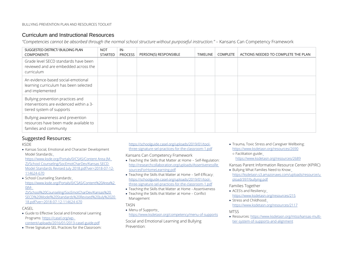## Curriculum and Instructional Resources

*"Competencies cannot be absorbed through the normal school structure without purposeful instruction."* – Kansans Can Competency Framework

| SUGGESTED DISTRICT/BUILDING PLAN<br><b>COMPONENTS</b>                                                     | <b>NOT</b><br><b>STARTED</b> | IN-<br><b>PROCESS</b> | PERSON(S) RESPONSIBLE | <b>TIMELINE</b> | <b>COMPLETE</b> | ACTIONS NEEDED TO COMPLETE THE PLAN |
|-----------------------------------------------------------------------------------------------------------|------------------------------|-----------------------|-----------------------|-----------------|-----------------|-------------------------------------|
| Grade level SECD standards have been<br>reviewed and are embedded across the<br>curriculum                |                              |                       |                       |                 |                 |                                     |
| An evidence-based social-emotional<br>learning curriculum has been selected<br>and implemented            |                              |                       |                       |                 |                 |                                     |
| Bullying prevention practices and<br>interventions are evidenced within a 3-<br>tiered system of supports |                              |                       |                       |                 |                 |                                     |
| Bullying awareness and prevention<br>resources have been made available to<br>families and community      |                              |                       |                       |                 |                 |                                     |

#### Suggested Resources:

KSDE

• Kansas Social, Emotional and Character Development Model Standards:

https:/[/www.ksde.org/Portals/0/CSAS/Content Area \(M-](http://www.ksde.org/Portals/0/CSAS/ContentArea(M-)Z)/School Counseling/SocEmotCharDev/Kansas SECD Model Standards Revised July 2018.pdf?ver=2018-07-12- 114624-670

• School Counseling Standard[s:](https://www.ksde.org/Portals/0/CSAS/Content%20Area%20(M-Z)/School%20Counseling/Soc_Emot_Char_Dev/Kansas%20SECD%20Model%20Standards%20Revised%20July%202018.pdf?ver=2018-07-12-114624-670) [https://www.ksde.org/Portals/0/CSAS/Content%20Area%2](https://www.ksde.org/Portals/0/CSAS/Content%20Area%20(M-Z)/School%20Counseling/Soc_Emot_Char_Dev/Kansas%20SECD%20Model%20Standards%20Revised%20July%202018.pdf?ver=2018-07-12-114624-670)  [0\(M-](https://www.ksde.org/Portals/0/CSAS/Content%20Area%20(M-Z)/School%20Counseling/Soc_Emot_Char_Dev/Kansas%20SECD%20Model%20Standards%20Revised%20July%202018.pdf?ver=2018-07-12-114624-670)

[Z\)/School%20Counseling/SocEmotCharDev/Kansas%20](https://www.ksde.org/Portals/0/CSAS/Content%20Area%20(M-Z)/School%20Counseling/Soc_Emot_Char_Dev/Kansas%20SECD%20Model%20Standards%20Revised%20July%202018.pdf?ver=2018-07-12-114624-670) [SECD%20Model%20Standards%20Revised%20July%2020](https://www.ksde.org/Portals/0/CSAS/Content%20Area%20(M-Z)/School%20Counseling/Soc_Emot_Char_Dev/Kansas%20SECD%20Model%20Standards%20Revised%20July%202018.pdf?ver=2018-07-12-114624-670) [18.pdf?ver=2018-07-12-114624-670](https://www.ksde.org/Portals/0/CSAS/Content%20Area%20(M-Z)/School%20Counseling/Soc_Emot_Char_Dev/Kansas%20SECD%20Model%20Standards%20Revised%20July%202018.pdf?ver=2018-07-12-114624-670) 

#### CASEL

- [Guide to Effective Social and Emotional Learning](https://casel.org/wp-content/uploads/2016/01/2013-casel-guide.pdf) [Programs: https://casel.org/wp](https://casel.org/wp-content/uploads/2016/01/2013-casel-guide.pdf)[content/uploads/2016/01/2013-casel-guide.pdf](https://casel.org/wp-content/uploads/2016/01/2013-casel-guide.pdf)
- Three Signature SEL Practices for the Classroom:

[https://schoolguide.casel.org/uploads/2019/01/tool](https://schoolguide.casel.org/uploads/2019/01/tool-three-signature-sel-practices-for-the-classroom-1.pdf)[three-signature-sel-practices-for-the-classroom-1.pdf](https://schoolguide.casel.org/uploads/2019/01/tool-three-signature-sel-practices-for-the-classroom-1.pdf) 

Kansans Can Competency Framework

- • Teaching the Skills that Matter at Home Self-Regulatio[n:](http://researchcollaboration.org/uploads/AssertivenessResourcesForHomeLearning.pdf)  [http://researchcollaboration.org/uploads/AssertivenessRe](http://researchcollaboration.org/uploads/AssertivenessResourcesForHomeLearning.pdf)  [sourcesForHomeLearning.pdf](http://researchcollaboration.org/uploads/AssertivenessResourcesForHomeLearning.pdf)
- Teaching the Skills that Matter at Home Self-Efficac[y:](https://schoolguide.casel.org/uploads/2019/01/tool-three-signature-sel-practices-for-the-classroom-1.pdf) [https://schoolguide.casel.org/uploads/2019/01/tool](https://schoolguide.casel.org/uploads/2019/01/tool-three-signature-sel-practices-for-the-classroom-1.pdf)[three-signature-sel-practices-for-the-classroom-1.pdf](https://schoolguide.casel.org/uploads/2019/01/tool-three-signature-sel-practices-for-the-classroom-1.pdf)
- Teaching the Skills that Matter at Home Assertiveness
- Teaching the Skills that Matter at Home Conflict Management

TASN

• Menu of Support[s:](https://www.ksdetasn.org/competency/menu-of-supports) <https://www.ksdetasn.org/competency/menu-of-supports>

 Social and Emotional Learning and Bullying Prevention:

• Trauma, Toxic Stress and Caregiver Wellbein[g:](https://www.ksdetasn.org/resources/2690) <https://www.ksdetasn.org/resources/2690> ○ Facilitation guid[e:](https://www.ksdetasn.org/resources/2689)

<https://www.ksdetasn.org/resources/2689>

Kansas Parent Information Resource Center (KPIRC)

• Bullying What Families Need to Kno[w:](https://ksdetasn.s3.amazonaws.com/uploads/resource/upload/397/bullying.pdf) [https://ksdetasn.s3.amazonaws.com/uploads/resource/u](https://ksdetasn.s3.amazonaws.com/uploads/resource/upload/397/bullying.pdf) [pload/397/bullying.pdf](https://ksdetasn.s3.amazonaws.com/uploads/resource/upload/397/bullying.pdf)

#### Families Together

- ACES's and Resiliency:
- https:/[/www.ksdetasn.org/resources/215](http://www.ksdetasn.org/resources/215)
- Stress and Childhoo[d:](https://www.ksdetasn.org/resources/2117) <https://www.ksdetasn.org/resources/2117>

#### MTSS

• Resources[: https://www.ksdetasn.org/mtss/kansas-multi](https://www.ksdetasn.org/mtss/kansas-multi-tier-system-of-supports-and-alignment)[tier-system-of-supports-and-alignment](https://www.ksdetasn.org/mtss/kansas-multi-tier-system-of-supports-and-alignment)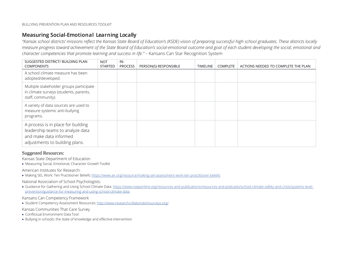# **Measuring Social-Emotional Learning Locally**

*"Kansas school districts' missions reflect the Kansas State Board of Education's (KSDE) vision of preparing successful high school graduates. These districts locally measure progress toward achievement of the State Board of Education's social-emotional outcome and goal of each student developing the social, emotional and character competencies that promote learning and success in life."* – Kansans Can Star Recognition System

| SUGGESTED DISTRICT/ BUILDING PLAN<br><b>COMPONENTS</b>                                                                             | <b>NOT</b><br>STARTED | IN-<br><b>PROCESS</b> | PERSON(S) RESPONSIBLE | <b>TIMELINE</b> | <b>COMPLETE</b> | ACTIONS NEEDED TO COMPLETE THE PLAN |
|------------------------------------------------------------------------------------------------------------------------------------|-----------------------|-----------------------|-----------------------|-----------------|-----------------|-------------------------------------|
| A school climate measure has been<br>adopted/developed.                                                                            |                       |                       |                       |                 |                 |                                     |
| Multiple stakeholder groups participate<br>in climate surveys (students, parents,<br>staff, community).                            |                       |                       |                       |                 |                 |                                     |
| A variety of data sources are used to<br>measure systemic anti-bullying<br>programs.                                               |                       |                       |                       |                 |                 |                                     |
| A process is in place for building<br>leadership teams to analyze data<br>and make data informed<br>adjustments to building plans. |                       |                       |                       |                 |                 |                                     |

#### Suggested Resources:

Kansas State Department of Education

• Measuring Social, Emotional, Character Growth Toolkit

American Institutes for Research:

• Making SEL Work: Ten Practitioner Beliefs[: https://www.air.org/resource/making-sel-assessment-work-ten-practitioner-beliefs](https://www.air.org/resource/making-sel-assessment-work-ten-practitioner-beliefs)

#### National Association of School Psychologists:

• Guidance for Gathering and Using School Climate Data: [https://www.nasponline.org/resources-and-publications/resources-and-podcasts/school-climate-safety-and-crisis/systems-level](https://www.nasponline.org/resources-and-publications/resources-and-podcasts/school-climate-safety-and-crisis/systems-level-prevention/guidance-for-measuring-and-using-school-climate-data)[prevention/guidance-for-measuring-and-using-school-climate-data](https://www.nasponline.org/resources-and-publications/resources-and-podcasts/school-climate-safety-and-crisis/systems-level-prevention/guidance-for-measuring-and-using-school-climate-data)

#### Kansans Can Competency Framework

• Student Competency Assessment Resources: http://www.researchcollaborationsurveys.org/

Kansas Communities That Care Survey

- Conflictual Environment Data Tool:
- Bullying in schools: the state of knowledge and effective intervention